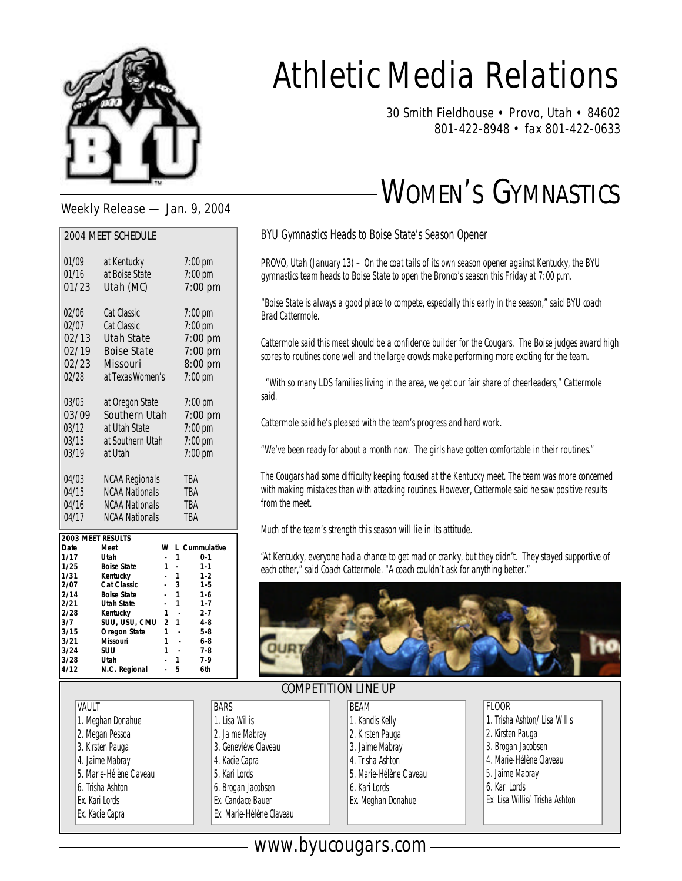

# Athletic Media Relations

30 Smith Fieldhouse • Provo, Utah • 84602 801-422-8948 • fax 801-422-0633

## WOMEN'S GYMNASTICS

Weekly Release — Jan. 9, 2004

| <b>2004 MEET SCHEDULE</b> |                       |           |  |  |  |  |
|---------------------------|-----------------------|-----------|--|--|--|--|
| 01/09                     | at Kentucky           | $7:00$ pm |  |  |  |  |
| 01/16                     | at Boise State        | $7:00$ pm |  |  |  |  |
| 01/23                     | Utah (MC)             | 7:00 pm   |  |  |  |  |
| 02/06                     | <b>Cat Classic</b>    | $7:00$ pm |  |  |  |  |
| 02/07                     | <b>Cat Classic</b>    | $7:00$ pm |  |  |  |  |
| 02/13                     | <b>Utah State</b>     | 7:00 pm   |  |  |  |  |
| 02/19                     | <b>Boise State</b>    | 7:00 pm   |  |  |  |  |
| 02/23                     | <b>Missouri</b>       | 8:00 pm   |  |  |  |  |
| 02/28                     | at Texas Women's      | $7:00$ pm |  |  |  |  |
| 03/05                     | at Oregon State       | $7:00$ pm |  |  |  |  |
| 03/09                     | <b>Southern Utah</b>  | $7:00$ pm |  |  |  |  |
| 03/12                     | at Utah State         | $7:00$ pm |  |  |  |  |
| 03/15                     | at Southern Utah      | $7:00$ pm |  |  |  |  |
| 03/19                     | at Utah               | $7:00$ pm |  |  |  |  |
|                           |                       |           |  |  |  |  |
| 04/03                     | <b>NCAA Regionals</b> | TBA       |  |  |  |  |
| 04/15                     | <b>NCAA Nationals</b> | TBA       |  |  |  |  |
| 04/16                     | <b>NCAA Nationals</b> | TBA       |  |  |  |  |
| 04/17                     | <b>NCAA Nationals</b> | TBA       |  |  |  |  |

| 2003 MEET RESULTS |                    |               |    |               |
|-------------------|--------------------|---------------|----|---------------|
| Date              | Meet               | W             |    | 1 Cummulative |
| 1/17              | Utah               |               |    | $0 - 1$       |
| 1/25              | <b>Boise State</b> |               |    | $1 - 1$       |
| 1/31              | Kentucky           |               |    | $1 - 2$       |
| 2/07              | Cat Classic        |               | 3  | $1 - 5$       |
| 2/14              | <b>Boise State</b> |               |    | $1 - 6$       |
| 2/21              | Utah State         |               |    | $1 - 7$       |
| 2/28              | Kentucky           | 1             |    | $2 - 7$       |
| 3/7               | SUU. USU. CMU      | $\mathcal{P}$ | -1 | $4 - 8$       |
| 3/15              | Oregon State       | 1             |    | $5 - 8$       |
| 3/21              | Missouri           |               |    | 6-8           |
| 3/24              | SUU                |               |    | $7 - 8$       |
| 3/28              | Utah               |               |    | $7 - 9$       |
| 4/12              | N.C. Regional      |               | 5  | 6th           |

VAULT

1. Meghan Donahue 2. Megan Pessoa 3. Kirsten Pauga 4. Jaime Mabray 5. Marie-Hélène Claveau 6. Trisha Ashton Ex. Kari Lords Ex. Kacie Capra

#### BYU Gymnastics Heads to Boise State's Season Opener

PROVO, Utah (January 13) – On the coat tails of its own season opener against Kentucky, the BYU gymnastics team heads to Boise State to open the Bronco's season this Friday at 7:00 p.m.

"Boise State is always a good place to compete, especially this early in the season," said BYU coach Brad Cattermole.

Cattermole said this meet should be a confidence builder for the Cougars. The Boise judges award high scores to routines done well and the large crowds make performing more exciting for the team.

"With so many LDS families living in the area, we get our fair share of cheerleaders," Cattermole said.

Cattermole said he's pleased with the team's progress and hard work.

"We've been ready for about a month now. The girls have gotten comfortable in their routines."

The Cougars had some difficulty keeping focused at the Kentucky meet. The team was more concerned with making mistakes than with attacking routines. However, Cattermole said he saw positive results from the meet.

Much of the team's strength this season will lie in its attitude.

"At Kentucky, everyone had a chance to get mad or cranky, but they didn't. They stayed supportive of each other," said Coach Cattermole. "A coach couldn't ask for anything better."



#### COMPETITION LINE UP

BEAM

**BARS** 1. Lisa Willis 2. Jaime Mabray 3. Geneviève Claveau 4. Kacie Capra 5. Kari Lords 6. Brogan Jacobsen Ex. Candace Bauer Ex. Marie-Hélène Claveau

| Beam                    |
|-------------------------|
| 1. Kandis Kelly         |
| 2. Kirsten Pauga        |
| 3. Jaime Mabray         |
| 4. Trisha Ashton        |
| 5. Marie-Hélène Claveau |
|                         |

- 6. Kari Lords
- Ex. Meghan Donahue
- FLOOR
- 1. Trisha Ashton/ Lisa Willis
- 2. Kirsten Pauga
- 3. Brogan Jacobsen
- 4. Marie-Hélène Claveau
- 5. Jaime Mabray
- 6. Kari Lords
- Ex. Lisa Willis/ Trisha Ashton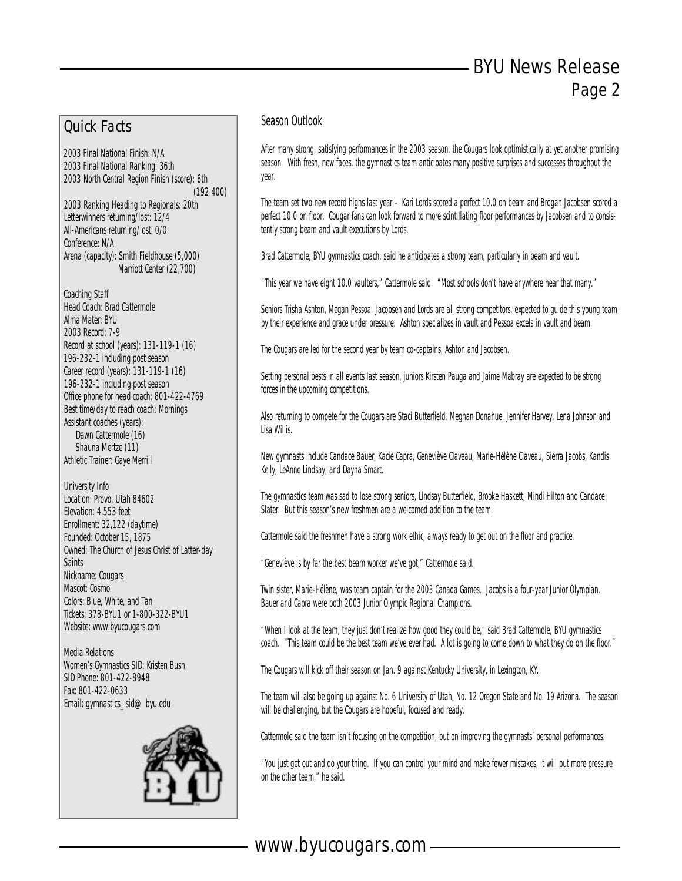#### Quick Facts

2003 Final National Finish: N/A 2003 Final National Ranking: 36th 2003 North Central Region Finish (score): 6th (192.400) 2003 Ranking Heading to Regionals: 20th Letterwinners returning/lost: 12/4 All-Americans returning/lost: 0/0 Conference: N/A Arena (capacity): Smith Fieldhouse (5,000) Marriott Center (22,700)

Coaching Staff Head Coach: Brad Cattermole Alma Mater: BYU 2003 Record: 7-9 Record at school (years): 131-119-1 (16) 196-232-1 including post season Career record (years): 131-119-1 (16) 196-232-1 including post season Office phone for head coach: 801-422-4769 Best time/day to reach coach: Mornings Assistant coaches (years): Dawn Cattermole (16) Shauna Mertze (11) Athletic Trainer: Gaye Merrill

University Info Location: Provo, Utah 84602 Elevation: 4,553 feet Enrollment: 32,122 (daytime) Founded: October 15, 1875 Owned: The Church of Jesus Christ of Latter-day **Saints** Nickname: Cougars Mascot: Cosmo Colors: Blue, White, and Tan Tickets: 378-BYU1 or 1-800-322-BYU1 Website: www.byucougars.com

Media Relations Women's Gymnastics SID: Kristen Bush SID Phone: 801-422-8948 Fax: 801-422-0633 Email: gymnastics\_sid@byu.edu



#### Season Outlook

After many strong, satisfying performances in the 2003 season, the Cougars look optimistically at yet another promising season. With fresh, new faces, the gymnastics team anticipates many positive surprises and successes throughout the year.

The team set two new record highs last year – Kari Lords scored a perfect 10.0 on beam and Brogan Jacobsen scored a perfect 10.0 on floor. Cougar fans can look forward to more scintillating floor performances by Jacobsen and to consistently strong beam and vault executions by Lords.

Brad Cattermole, BYU gymnastics coach, said he anticipates a strong team, particularly in beam and vault.

"This year we have eight 10.0 vaulters," Cattermole said. "Most schools don't have anywhere near that many."

Seniors Trisha Ashton, Megan Pessoa, Jacobsen and Lords are all strong competitors, expected to guide this young team by their experience and grace under pressure. Ashton specializes in vault and Pessoa excels in vault and beam.

The Cougars are led for the second year by team co-captains, Ashton and Jacobsen.

Setting personal bests in all events last season, juniors Kirsten Pauga and Jaime Mabray are expected to be strong forces in the upcoming competitions.

Also returning to compete for the Cougars are Staci Butterfield, Meghan Donahue, Jennifer Harvey, Lena Johnson and Lisa Willis.

New gymnasts include Candace Bauer, Kacie Capra, Geneviève Claveau, Marie-Hélène Claveau, Sierra Jacobs, Kandis Kelly, LeAnne Lindsay, and Dayna Smart.

The gymnastics team was sad to lose strong seniors, Lindsay Butterfield, Brooke Haskett, Mindi Hilton and Candace Slater. But this season's new freshmen are a welcomed addition to the team.

Cattermole said the freshmen have a strong work ethic, always ready to get out on the floor and practice.

"Geneviève is by far the best beam worker we've got," Cattermole said.

Twin sister, Marie-Hélène, was team captain for the 2003 Canada Games. Jacobs is a four-year Junior Olympian. Bauer and Capra were both 2003 Junior Olympic Regional Champions.

"When I look at the team, they just don't realize how good they could be," said Brad Cattermole, BYU gymnastics coach. "This team could be the best team we've ever had. A lot is going to come down to what they do on the floor."

The Cougars will kick off their season on Jan. 9 against Kentucky University, in Lexington, KY.

The team will also be going up against No. 6 University of Utah, No. 12 Oregon State and No. 19 Arizona. The season will be challenging, but the Cougars are hopeful, focused and ready.

Cattermole said the team isn't focusing on the competition, but on improving the gymnasts' personal performances.

"You just get out and do your thing. If you can control your mind and make fewer mistakes, it will put more pressure on the other team," he said.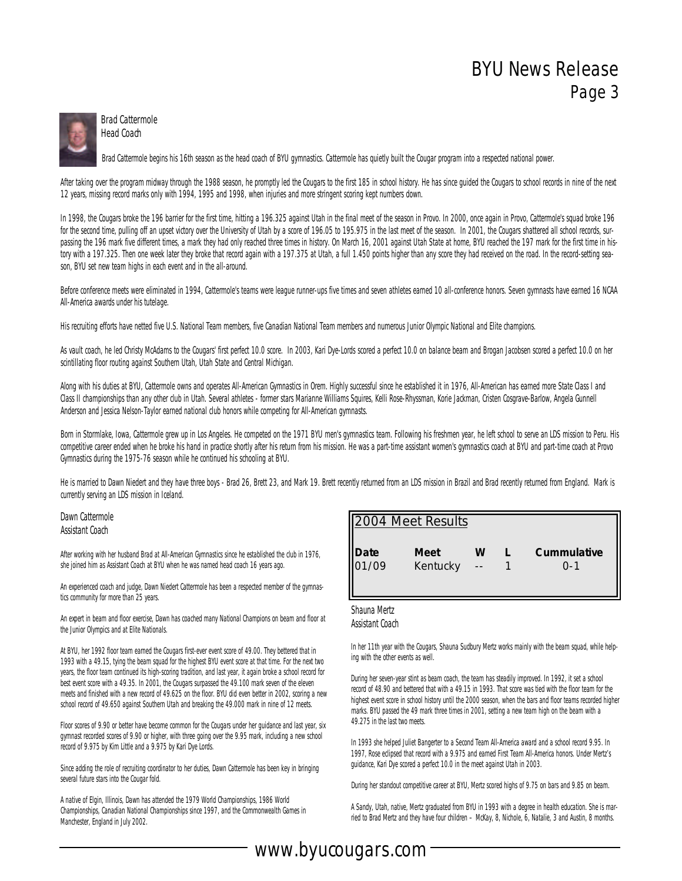

Brad Cattermole Head Coach

Brad Cattermole begins his 16th season as the head coach of BYU gymnastics. Cattermole has quietly built the Cougar program into a respected national power.

After taking over the program midway through the 1988 season, he promptly led the Cougars to the first 185 in school history. He has since quided the Cougars to school records in nine of the next 12 years, missing record marks only with 1994, 1995 and 1998, when injuries and more stringent scoring kept numbers down.

In 1998, the Cougars broke the 196 barrier for the first time, hitting a 196.325 against Utah in the final meet of the season in Provo. In 2000, once again in Provo, Cattermole's squad broke 196 for the second time, pulling off an upset victory over the University of Utah by a score of 196.05 to 195.975 in the last meet of the season. In 2001, the Cougars shattered all school records, surpassing the 196 mark five different times, a mark they had only reached three times in history. On March 16, 2001 against Utah State at home, BYU reached the 197 mark for the first time in history with a 197.325. Then one week later they broke that record again with a 197.375 at Utah, a full 1.450 points higher than any score they had received on the road. In the record-setting season, BYU set new team highs in each event and in the all-around.

Before conference meets were eliminated in 1994, Cattermole's teams were league runner-ups five times and seven athletes earned 10 all-conference honors. Seven gymnasts have earned 16 NCAA All-America awards under his tutelage.

His recruiting efforts have netted five U.S. National Team members, five Canadian National Team members and numerous Junior Olympic National and Elite champions.

As vault coach, he led Christy McAdams to the Cougars' first perfect 10.0 score. In 2003, Kari Dye-Lords scored a perfect 10.0 on balance beam and Brogan Jacobsen scored a perfect 10.0 on her scintillating floor routing against Southern Utah, Utah State and Central Michigan.

Along with his duties at BYU, Cattermole owns and operates All-American Gymnastics in Orem. Highly successful since he established it in 1976, All-American has earned more State Class I and Class II championships than any other club in Utah. Several athletes - former stars Marianne Williams Squires, Kelli Rose-Rhyssman, Korie Jackman, Cristen Cosgrave-Barlow, Angela Gunnell Anderson and Jessica Nelson-Taylor earned national club honors while competing for All-American gymnasts.

Born in Stormlake, Iowa, Cattermole grew up in Los Angeles. He competed on the 1971 BYU men's gymnastics team. Following his freshmen year, he left school to serve an LDS mission to Peru. His competitive career ended when he broke his hand in practice shortly after his return from his mission. He was a part-time assistant women's gymnastics coach at BYU and part-time coach at Provo Gymnastics during the 1975-76 season while he continued his schooling at BYU.

He is married to Dawn Niedert and they have three boys - Brad 26, Brett 23, and Mark 19. Brett recently returned from an LDS mission in Brazil and Brad recently returned from England. Mark is currently serving an LDS mission in Iceland.

Dawn Cattermole Assistant Coach

After working with her husband Brad at All-American Gymnastics since he established the club in 1976, she joined him as Assistant Coach at BYU when he was named head coach 16 years ago.

An experienced coach and judge, Dawn Niedert Cattermole has been a respected member of the gymnastics community for more than 25 years.

An expert in beam and floor exercise, Dawn has coached many National Champions on beam and floor at the Junior Olympics and at Elite Nationals.

At BYU, her 1992 floor team earned the Cougars first-ever event score of 49.00. They bettered that in 1993 with a 49.15, tying the beam squad for the highest BYU event score at that time. For the next two years, the floor team continued its high-scoring tradition, and last year, it again broke a school record for best event score with a 49.35. In 2001, the Cougars surpassed the 49.100 mark seven of the eleven meets and finished with a new record of 49.625 on the floor. BYU did even better in 2002, scoring a new school record of 49.650 against Southern Utah and breaking the 49.000 mark in nine of 12 meets.

Floor scores of 9.90 or better have become common for the Cougars under her guidance and last year, six gymnast recorded scores of 9.90 or higher, with three going over the 9.95 mark, including a new school record of 9.975 by Kim Little and a 9.975 by Kari Dye Lords.

Since adding the role of recruiting coordinator to her duties, Dawn Cattermole has been key in bringing several future stars into the Cougar fold.

A native of Elgin, Illinois, Dawn has attended the 1979 World Championships, 1986 World Championships, Canadian National Championships since 1997, and the Commonwealth Games in Manchester, England in July 2002.

|               | 2004 Meet Results       |   |                    |
|---------------|-------------------------|---|--------------------|
| Date<br>01/09 | <b>Meet</b><br>Kentucky | W | Cummulative<br>ი-1 |

#### Shauna Mertz Assistant Coach

In her 11th year with the Cougars, Shauna Sudbury Mertz works mainly with the beam squad, while helping with the other events as well.

During her seven-year stint as beam coach, the team has steadily improved. In 1992, it set a school record of 48.90 and bettered that with a 49.15 in 1993. That score was tied with the floor team for the highest event score in school history until the 2000 season, when the bars and floor teams recorded higher marks. BYU passed the 49 mark three times in 2001, setting a new team high on the beam with a 49.275 in the last two meets.

In 1993 she helped Juliet Bangerter to a Second Team All-America award and a school record 9.95. In 1997, Rose eclipsed that record with a 9.975 and earned First Team All-America honors. Under Mertz's guidance, Kari Dye scored a perfect 10.0 in the meet against Utah in 2003.

During her standout competitive career at BYU, Mertz scored highs of 9.75 on bars and 9.85 on beam.

A Sandy, Utah, native, Mertz graduated from BYU in 1993 with a degree in health education. She is married to Brad Mertz and they have four children – McKay, 8, Nichole, 6, Natalie, 3 and Austin, 8 months.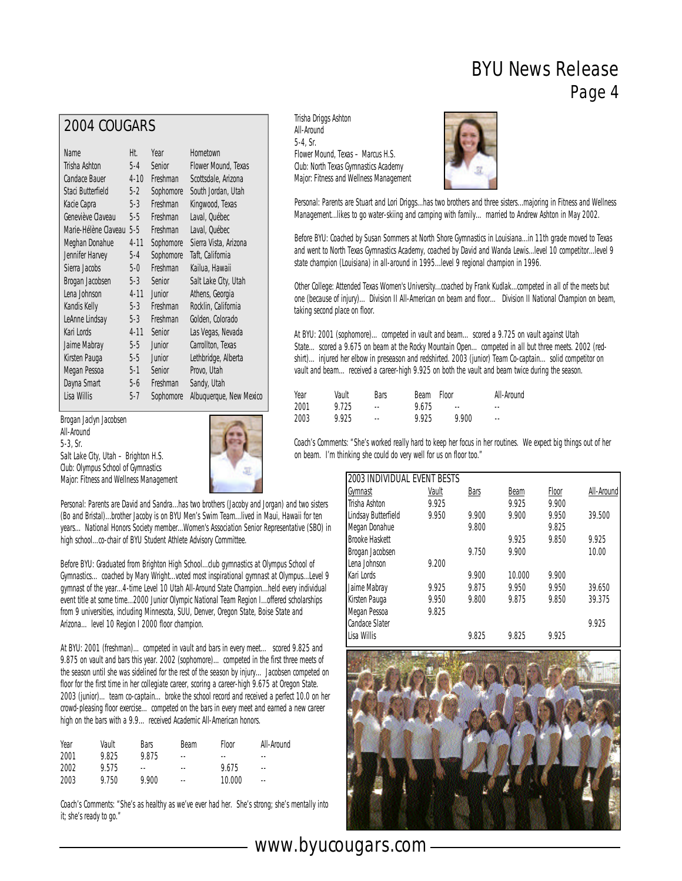#### 2004 COUGARS

| Name                 | Ht.      | Year      | Hometown                |
|----------------------|----------|-----------|-------------------------|
| Trisha Ashton        | $5-4$    | Senior    | Flower Mound, Texas     |
| Candace Bauer        | $4 - 10$ | Freshman  | Scottsdale, Arizona     |
| Staci Butterfield    | $5-2$    | Sophomore | South Jordan, Utah      |
| Kacie Capra          | $5-3$    | Freshman  | Kingwood, Texas         |
| Geneviève Claveau    | 5-5      | Freshman  | Laval, Québec           |
| Marie-Hélène Claveau | $5-5$    | Freshman  | Laval, Québec           |
| Meghan Donahue       | $4 - 11$ | Sophomore | Sierra Vista, Arizona   |
| Jennifer Harvey      | $5-4$    | Sophomore | Taft, California        |
| Sierra Jacobs        | $5-0$    | Freshman  | Kailua, Hawaii          |
| Brogan Jacobsen      | 5-3      | Senior    | Salt Lake City, Utah    |
| Lena Johnson         | $4 - 11$ | Junior    | Athens, Georgia         |
| Kandis Kelly         | 5-3      | Freshman  | Rocklin, California     |
| LeAnne Lindsay       | 5-3      | Freshman  | Golden, Colorado        |
| Kari Lords           | $4 - 11$ | Senior    | Las Vegas, Nevada       |
| Jaime Mabray         | $5-5$    | Junior    | Carrollton, Texas       |
| Kirsten Pauga        | $5-5$    | Junior    | Lethbridge, Alberta     |
| Megan Pessoa         | 5-1      | Senior    | Provo, Utah             |
| Dayna Smart          | 5-6      | Freshman  | Sandy, Utah             |
| Lisa Willis          | 5-7      | Sophomore | Albuquerque, New Mexico |

Brogan Jaclyn Jacobsen All-Around 5-3, Sr. Salt Lake City, Utah – Brighton H.S. Club: Olympus School of Gymnastics Major: Fitness and Wellness Management



Personal: Parents are David and Sandra...has two brothers (Jacoby and Jorgan) and two sisters (Bo and Bristal)...brother Jacoby is on BYU Men's Swim Team...lived in Maui, Hawaii for ten years…National Honors Society member...Women's Association Senior Representative (SBO) in high school...co-chair of BYU Student Athlete Advisory Committee.

Before BYU: Graduated from Brighton High School...club gymnastics at Olympus School of Gymnastics…coached by Mary Wright...voted most inspirational gymnast at Olympus...Level 9 gymnast of the year...4-time Level 10 Utah All-Around State Champion...held every individual event title at some time...2000 Junior Olympic National Team Region I...offered scholarships from 9 universities, including Minnesota, SUU, Denver, Oregon State, Boise State and Arizona…level 10 Region I 2000 floor champion.

At BYU: 2001 (freshman)…competed in vault and bars in every meet… scored 9.825 and 9.875 on vault and bars this year. 2002 (sophomore)... competed in the first three meets of the season until she was sidelined for the rest of the season by injury…Jacobsen competed on floor for the first time in her collegiate career, scoring a career-high 9.675 at Oregon State. 2003 (junior)…team co-captain…broke the school record and received a perfect 10.0 on her crowd-pleasing floor exercise…competed on the bars in every meet and earned a new career high on the bars with a 9.9. . . received Academic All-American honors.

| Year | Vault | Bars   | <b>Beam</b>   | <b>Floor</b> | All-Around |
|------|-------|--------|---------------|--------------|------------|
| 2001 | 9.825 | 9.875  | $\frac{1}{2}$ | $-$          | --         |
| 2002 | 9.575 | $\sim$ | $\frac{1}{2}$ | 9.675        | $\sim$     |
| 2003 | 9.750 | 9.900  | ٠.            | 10.000       | $\sim$ $-$ |

Coach's Comments: "She's as healthy as we've ever had her. She's strong; she's mentally into it; she's ready to go."

Trisha Driggs Ashton All-Around 5-4, Sr. Flower Mound, Texas – Marcus H.S. Club: North Texas Gymnastics Academy Major: Fitness and Wellness Management



Personal: Parents are Stuart and Lori Driggs...has two brothers and three sisters...majoring in Fitness and Wellness Management...likes to go water-skiing and camping with family...married to Andrew Ashton in May 2002.

Before BYU: Coached by Susan Sommers at North Shore Gymnastics in Louisiana...in 11th grade moved to Texas and went to North Texas Gymnastics Academy, coached by David and Wanda Lewis...level 10 competitor...level 9 state champion (Louisiana) in all-around in 1995...level 9 regional champion in 1996.

Other College: Attended Texas Women's University...coached by Frank Kudlak...competed in all of the meets but one (because of injury)... Division II All-American on beam and floor... Division II National Champion on beam, taking second place on floor.

At BYU: 2001 (sophomore)…competed in vault and beam…scored a 9.725 on vault against Utah State...scored a 9.675 on beam at the Rocky Mountain Open...competed in all but three meets. 2002 (redshirt)…injured her elbow in preseason and redshirted. 2003 (junior) Team Co-captain…solid competitor on vault and beam... received a career-high 9.925 on both the vault and beam twice during the season.

| Year | Vault | Bars       | Beam  | Floor | All-Around |
|------|-------|------------|-------|-------|------------|
| 2001 | 9.725 | ۰.         | 9.675 | $-$   | $\sim$ $-$ |
| 2003 | 9.925 | $\sim$ $-$ | 9.925 | 9.900 | $\sim$ $-$ |

Coach's Comments: "She's worked really hard to keep her focus in her routines. We expect big things out of her on beam. I'm thinking she could do very well for us on floor too."

| <b>2003 INDIVIDUAL EVENT BESTS</b> |       |             |        |       |            |
|------------------------------------|-------|-------------|--------|-------|------------|
| <u>Gymnast</u>                     | Vault | <b>Bars</b> | Beam   | Floor | All-Around |
| Trisha Ashton                      | 9.925 |             | 9.925  | 9.900 |            |
| Lindsay Butterfield                | 9.950 | 9.900       | 9.900  | 9.950 | 39.500     |
| Megan Donahue                      |       | 9.800       |        | 9.825 |            |
| <b>Brooke Haskett</b>              |       |             | 9.925  | 9.850 | 9.925      |
| Brogan Jacobsen                    |       | 9.750       | 9.900  |       | 10.00      |
| Lena Johnson                       | 9.200 |             |        |       |            |
| Kari Lords                         |       | 9.900       | 10.000 | 9.900 |            |
| Jaime Mabray                       | 9.925 | 9.875       | 9.950  | 9.950 | 39.650     |
| Kirsten Pauga                      | 9.950 | 9.800       | 9.875  | 9.850 | 39.375     |
| Megan Pessoa                       | 9.825 |             |        |       |            |
| <b>Candace Slater</b>              |       |             |        |       | 9.925      |
| Lisa Willis                        |       | 9.825       | 9.825  | 9.925 |            |

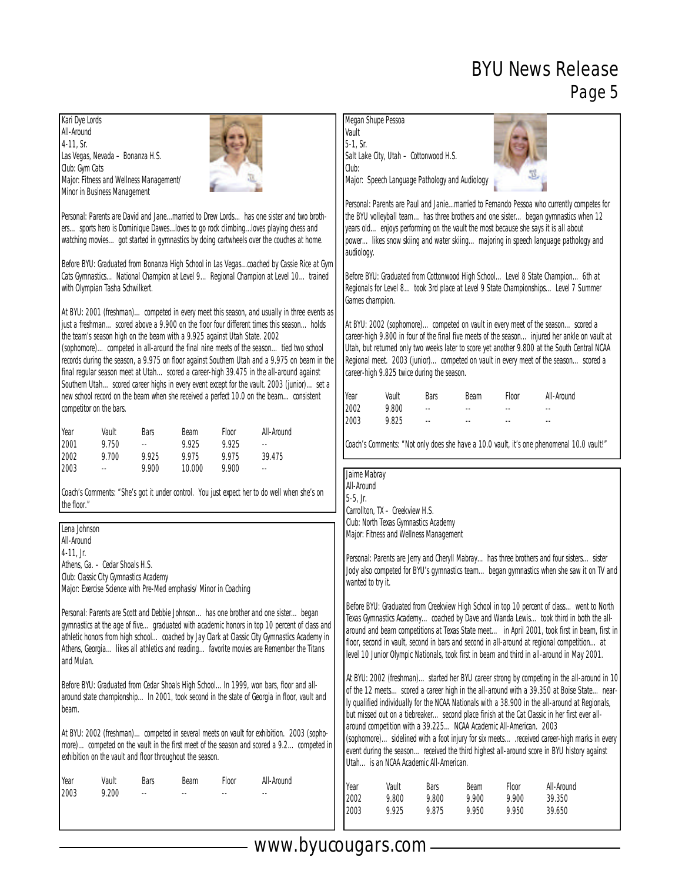| Kari Dye Lords<br>All-Around<br>4-11, Sr.<br>Las Vegas, Nevada - Bonanza H.S.<br>Club: Gym Cats                                                                                                                                                                                                                                                                                                                                                                                                                                                                                                                                                                                                                                                                                                                                                                                                                                                                                                                                                                                                                                           | Megan Shupe Pessoa<br>Vault<br>$5-1$ , Sr.<br>Salt Lake City, Utah - Cottonwood H.S.<br>Club:                                                                                                                                                                                                                                                                                                                                                                                                                                                                                                                                                                                                                                                                                                                                                                                                                                                                                                     |
|-------------------------------------------------------------------------------------------------------------------------------------------------------------------------------------------------------------------------------------------------------------------------------------------------------------------------------------------------------------------------------------------------------------------------------------------------------------------------------------------------------------------------------------------------------------------------------------------------------------------------------------------------------------------------------------------------------------------------------------------------------------------------------------------------------------------------------------------------------------------------------------------------------------------------------------------------------------------------------------------------------------------------------------------------------------------------------------------------------------------------------------------|---------------------------------------------------------------------------------------------------------------------------------------------------------------------------------------------------------------------------------------------------------------------------------------------------------------------------------------------------------------------------------------------------------------------------------------------------------------------------------------------------------------------------------------------------------------------------------------------------------------------------------------------------------------------------------------------------------------------------------------------------------------------------------------------------------------------------------------------------------------------------------------------------------------------------------------------------------------------------------------------------|
| Major: Fitness and Wellness Management/<br>Minor in Business Management                                                                                                                                                                                                                                                                                                                                                                                                                                                                                                                                                                                                                                                                                                                                                                                                                                                                                                                                                                                                                                                                   | Major: Speech Language Pathology and Audiology                                                                                                                                                                                                                                                                                                                                                                                                                                                                                                                                                                                                                                                                                                                                                                                                                                                                                                                                                    |
| Personal: Parents are David and Janemarried to Drew Lordshas one sister and two broth-<br>erssports hero is Dominique Dawesloves to go rock climbingloves playing chess and<br>watching moviesgot started in gymnastics by doing cartwheels over the couches at home.<br>Before BYU: Graduated from Bonanza High School in Las Vegascoached by Cassie Rice at Gym<br>Cats GymnasticsNational Champion at Level 9Regional Champion at Level 10trained<br>with Olympian Tasha Schwilkert.<br>At BYU: 2001 (freshman) competed in every meet this season, and usually in three events as<br>just a freshmanscored above a 9.900 on the floor four different times this seasonholds<br>the team's season high on the beam with a 9.925 against Utah State. 2002<br>(sophomore)competed in all-around the final nine meets of the seasontied two school<br>records during the season, a 9.975 on floor against Southern Utah and a 9.975 on beam in the<br>final regular season meet at Utah scored a career-high 39.475 in the all-around against<br>Southern Utahscored career highs in every event except for the vault. 2003 (junior)set a | Personal: Parents are Paul and Janiemarried to Fernando Pessoa who currently competes for<br>the BYU volleyball teamhas three brothers and one sisterbegan gymnastics when 12<br>years oldenjoys performing on the vault the most because she says it is all about<br>powerlikes snow skiing and water skiingmajoring in speech language pathology and<br>audiology.<br>Before BYU: Graduated from Cottonwood High School Level 8 State Champion 6th at<br>Regionals for Level 8took 3rd place at Level 9 State ChampionshipsLevel 7 Summer<br>Games champion.<br>At BYU: 2002 (sophomore)competed on vault in every meet of the seasonscored a<br>career-high 9.800 in four of the final five meets of the season injured her ankle on vault at<br>Utah, but returned only two weeks later to score yet another 9.800 at the South Central NCAA<br>Regional meet. 2003 (junior)competed on vault in every meet of the seasonscored a<br>career-high 9.825 twice during the season.<br>All-Around |
| new school record on the beam when she received a perfect 10.0 on the beamconsistent<br>competitor on the bars.                                                                                                                                                                                                                                                                                                                                                                                                                                                                                                                                                                                                                                                                                                                                                                                                                                                                                                                                                                                                                           | Year<br>Vault<br>Bars<br>Floor<br><b>Beam</b><br>2002<br>9.800<br>u.<br>2003<br>9.825<br>$\sim$ $\sim$                                                                                                                                                                                                                                                                                                                                                                                                                                                                                                                                                                                                                                                                                                                                                                                                                                                                                            |
| All-Around<br>Year<br>Vault<br>Bars<br>Beam<br>Floor<br>2001<br>9.750<br>u.<br>9.925<br>9.925<br>$\ddotsc$<br>2002<br>9.700<br>9.975<br>9.975<br>39.475<br>9.925                                                                                                                                                                                                                                                                                                                                                                                                                                                                                                                                                                                                                                                                                                                                                                                                                                                                                                                                                                          | Coach's Comments: "Not only does she have a 10.0 vault, it's one phenomenal 10.0 vault!"                                                                                                                                                                                                                                                                                                                                                                                                                                                                                                                                                                                                                                                                                                                                                                                                                                                                                                          |
| 2003<br>9.900<br>10.000<br>9.900<br>$\sim$<br>$\overline{\phantom{a}}$<br>Coach's Comments: "She's got it under control. You just expect her to do well when she's on<br>the floor."                                                                                                                                                                                                                                                                                                                                                                                                                                                                                                                                                                                                                                                                                                                                                                                                                                                                                                                                                      | Jaime Mabray<br>All-Around<br>$5-5$ , Jr.<br>Carrollton, TX - Creekview H.S.<br>Club: North Texas Gymnastics Academy                                                                                                                                                                                                                                                                                                                                                                                                                                                                                                                                                                                                                                                                                                                                                                                                                                                                              |
| Lena Johnson<br>All-Around<br>$4-11$ , Jr.<br>Athens, Ga. - Cedar Shoals H.S.<br>Club: Classic City Gymnastics Academy<br>Major: Exercise Science with Pre-Med emphasis/ Minor in Coaching                                                                                                                                                                                                                                                                                                                                                                                                                                                                                                                                                                                                                                                                                                                                                                                                                                                                                                                                                | Major: Fitness and Wellness Management<br>Personal: Parents are Jerry and Cheryll Mabrayhas three brothers and four sisterssister<br>Jody also competed for BYU's gymnastics teambegan gymnastics when she saw it on TV and<br>wanted to try it.                                                                                                                                                                                                                                                                                                                                                                                                                                                                                                                                                                                                                                                                                                                                                  |
| Personal: Parents are Scott and Debbie Johnsonhas one brother and one sisterbegan<br>gymnastics at the age of fivegraduated with academic honors in top 10 percent of class and<br>athletic honors from high school coached by Jay Clark at Classic City Gymnastics Academy in<br>Athens, Georgia likes all athletics and reading favorite movies are Remember the Titans<br>and Mulan.                                                                                                                                                                                                                                                                                                                                                                                                                                                                                                                                                                                                                                                                                                                                                   | Before BYU: Graduated from Creekview High School in top 10 percent of class went to North<br>Texas Gymnastics Academycoached by Dave and Wanda Lewistook third in both the all-<br>around and beam competitions at Texas State meet in April 2001, took first in beam, first in<br>floor, second in vault, second in bars and second in all-around at regional competitionat<br>level 10 Junior Olympic Nationals, took first in beam and third in all-around in May 2001.                                                                                                                                                                                                                                                                                                                                                                                                                                                                                                                        |
| Before BYU: Graduated from Cedar Shoals High School In 1999, won bars, floor and all-<br>around state championshipIn 2001, took second in the state of Georgia in floor, vault and<br>beam.                                                                                                                                                                                                                                                                                                                                                                                                                                                                                                                                                                                                                                                                                                                                                                                                                                                                                                                                               | At BYU: 2002 (freshman)started her BYU career strong by competing in the all-around in 10<br>of the 12 meetsscored a career high in the all-around with a 39.350 at Boise Statenear-<br>ly qualified individually for the NCAA Nationals with a 38.900 in the all-around at Regionals,<br>but missed out on a tiebreakersecond place finish at the Cat Classic in her first ever all-<br>around competition with a 39.225 NCAA Academic All-American. 2003                                                                                                                                                                                                                                                                                                                                                                                                                                                                                                                                        |
| At BYU: 2002 (freshman)competed in several meets on vault for exhibition. 2003 (sopho-<br>more)competed on the vault in the first meet of the season and scored a 9.2competed in<br>exhibition on the vault and floor throughout the season.                                                                                                                                                                                                                                                                                                                                                                                                                                                                                                                                                                                                                                                                                                                                                                                                                                                                                              | (sophomore) sidelined with a foot injury for six meetsreceived career-high marks in every<br>event during the seasonreceived the third highest all-around score in BYU history against<br>Utah is an NCAA Academic All-American.                                                                                                                                                                                                                                                                                                                                                                                                                                                                                                                                                                                                                                                                                                                                                                  |
| Year<br>Vault<br>All-Around<br>Bars<br>Beam<br>Floor<br>2003<br>9.200<br>$\overline{\phantom{a}}$                                                                                                                                                                                                                                                                                                                                                                                                                                                                                                                                                                                                                                                                                                                                                                                                                                                                                                                                                                                                                                         | Vault<br>Bars<br>Beam<br>Floor<br>All-Around<br>Year<br>2002<br>9.800<br>9.800<br>9.900<br>9.900<br>39.350<br>2003<br>9.925<br>9.875<br>9.950<br>9.950<br>39.650                                                                                                                                                                                                                                                                                                                                                                                                                                                                                                                                                                                                                                                                                                                                                                                                                                  |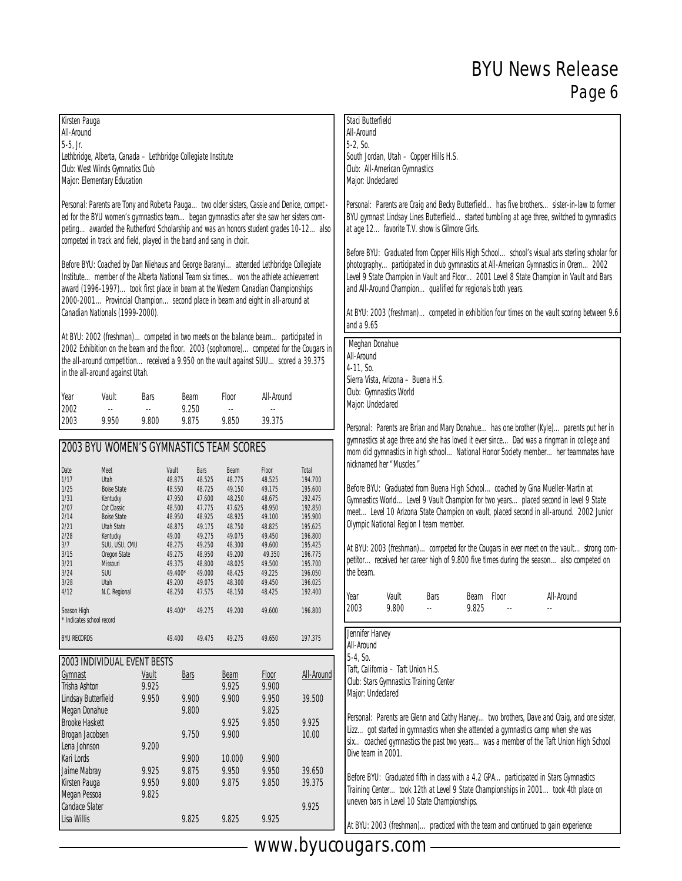| Kirsten Pauga                                                                                                                                                                                                                                                                                                                                                                  |                                                                    |              |                  |                  |                  |                                                                                        |                                                             | Staci Butterfield                              |                                              |      |                                                                                                                                                                                                                                                                                                                                                                          |                                                                                                                                                                                               |                                                                                           |
|--------------------------------------------------------------------------------------------------------------------------------------------------------------------------------------------------------------------------------------------------------------------------------------------------------------------------------------------------------------------------------|--------------------------------------------------------------------|--------------|------------------|------------------|------------------|----------------------------------------------------------------------------------------|-------------------------------------------------------------|------------------------------------------------|----------------------------------------------|------|--------------------------------------------------------------------------------------------------------------------------------------------------------------------------------------------------------------------------------------------------------------------------------------------------------------------------------------------------------------------------|-----------------------------------------------------------------------------------------------------------------------------------------------------------------------------------------------|-------------------------------------------------------------------------------------------|
| All-Around                                                                                                                                                                                                                                                                                                                                                                     |                                                                    |              |                  |                  |                  |                                                                                        |                                                             | All-Around                                     |                                              |      |                                                                                                                                                                                                                                                                                                                                                                          |                                                                                                                                                                                               |                                                                                           |
| $5-5$ , Jr.                                                                                                                                                                                                                                                                                                                                                                    |                                                                    |              |                  |                  |                  |                                                                                        |                                                             | $5-2, S0.$                                     |                                              |      |                                                                                                                                                                                                                                                                                                                                                                          |                                                                                                                                                                                               |                                                                                           |
|                                                                                                                                                                                                                                                                                                                                                                                |                                                                    |              |                  |                  |                  |                                                                                        |                                                             |                                                |                                              |      |                                                                                                                                                                                                                                                                                                                                                                          |                                                                                                                                                                                               |                                                                                           |
|                                                                                                                                                                                                                                                                                                                                                                                | Lethbridge, Alberta, Canada - Lethbridge Collegiate Institute      |              |                  |                  |                  |                                                                                        |                                                             | South Jordan, Utah - Copper Hills H.S.         |                                              |      |                                                                                                                                                                                                                                                                                                                                                                          |                                                                                                                                                                                               |                                                                                           |
|                                                                                                                                                                                                                                                                                                                                                                                | Club: West Winds Gymnatics Club                                    |              |                  |                  |                  |                                                                                        |                                                             |                                                | Club: All-American Gymnastics                |      |                                                                                                                                                                                                                                                                                                                                                                          |                                                                                                                                                                                               |                                                                                           |
|                                                                                                                                                                                                                                                                                                                                                                                | Major: Elementary Education                                        |              |                  |                  |                  |                                                                                        |                                                             | Major: Undeclared                              |                                              |      |                                                                                                                                                                                                                                                                                                                                                                          |                                                                                                                                                                                               |                                                                                           |
| Personal: Parents are Tony and Roberta Pauga two older sisters, Cassie and Denice, compet -<br>ed for the BYU women's gymnastics teambegan gymnastics after she saw her sisters com-<br>petingawarded the Rutherford Scholarship and was an honors student grades 10-12also                                                                                                    |                                                                    |              |                  |                  |                  |                                                                                        |                                                             | at age 12 favorite T.V. show is Gilmore Girls. |                                              |      |                                                                                                                                                                                                                                                                                                                                                                          | Personal: Parents are Craig and Becky Butterfield. has five brothers. sister-in-law to former<br>BYU gymnast Lindsay Lines Butterfield. started tumbling at age three, switched to gymnastics |                                                                                           |
|                                                                                                                                                                                                                                                                                                                                                                                | competed in track and field, played in the band and sang in choir. |              |                  |                  |                  |                                                                                        |                                                             |                                                |                                              |      |                                                                                                                                                                                                                                                                                                                                                                          |                                                                                                                                                                                               |                                                                                           |
| Before BYU: Coached by Dan Niehaus and George Baranyiattended Lethbridge Collegiate<br>Institutemember of the Alberta National Team six timeswon the athlete achievement<br>award (1996-1997) took first place in beam at the Western Canadian Championships<br>2000-2001Provincial Championsecond place in beam and eight in all-around at<br>Canadian Nationals (1999-2000). |                                                                    |              |                  |                  |                  |                                                                                        | and All-Around Champion qualified for regionals both years. |                                                |                                              |      | Before BYU: Graduated from Copper Hills High Schoolschool's visual arts sterling scholar for<br>photographyparticipated in club gymnastics at All-American Gymnastics in Orem2002<br>Level 9 State Champion in Vault and Floor2001 Level 8 State Champion in Vault and Bars<br>At BYU: 2003 (freshman)competed in exhibition four times on the vault scoring between 9.6 |                                                                                                                                                                                               |                                                                                           |
|                                                                                                                                                                                                                                                                                                                                                                                |                                                                    |              |                  |                  |                  |                                                                                        |                                                             | and a 9.65                                     |                                              |      |                                                                                                                                                                                                                                                                                                                                                                          |                                                                                                                                                                                               |                                                                                           |
|                                                                                                                                                                                                                                                                                                                                                                                |                                                                    |              |                  |                  |                  | At BYU: 2002 (freshman)competed in two meets on the balance beamparticipated in        |                                                             |                                                |                                              |      |                                                                                                                                                                                                                                                                                                                                                                          |                                                                                                                                                                                               |                                                                                           |
|                                                                                                                                                                                                                                                                                                                                                                                |                                                                    |              |                  |                  |                  | 2002 Exhibition on the beam and the floor. 2003 (sophomore)competed for the Cougars in |                                                             | Meghan Donahue                                 |                                              |      |                                                                                                                                                                                                                                                                                                                                                                          |                                                                                                                                                                                               |                                                                                           |
|                                                                                                                                                                                                                                                                                                                                                                                |                                                                    |              |                  |                  |                  | the all-around competitionreceived a 9.950 on the vault against SUUscored a 39.375     |                                                             | All-Around                                     |                                              |      |                                                                                                                                                                                                                                                                                                                                                                          |                                                                                                                                                                                               |                                                                                           |
|                                                                                                                                                                                                                                                                                                                                                                                | in the all-around against Utah.                                    |              |                  |                  |                  |                                                                                        |                                                             | 4-11, So.                                      |                                              |      |                                                                                                                                                                                                                                                                                                                                                                          |                                                                                                                                                                                               |                                                                                           |
|                                                                                                                                                                                                                                                                                                                                                                                |                                                                    |              |                  |                  |                  |                                                                                        |                                                             |                                                | Sierra Vista, Arizona - Buena H.S.           |      |                                                                                                                                                                                                                                                                                                                                                                          |                                                                                                                                                                                               |                                                                                           |
|                                                                                                                                                                                                                                                                                                                                                                                |                                                                    |              |                  |                  |                  |                                                                                        |                                                             |                                                | Club: Gymnastics World                       |      |                                                                                                                                                                                                                                                                                                                                                                          |                                                                                                                                                                                               |                                                                                           |
| Year                                                                                                                                                                                                                                                                                                                                                                           | Vault                                                              | Bars         | Beam             |                  | Floor            | All-Around                                                                             |                                                             | Major: Undeclared                              |                                              |      |                                                                                                                                                                                                                                                                                                                                                                          |                                                                                                                                                                                               |                                                                                           |
| 2002<br>2003                                                                                                                                                                                                                                                                                                                                                                   | u.<br>9.950                                                        | u,<br>9.800  |                  | 9.250<br>9.875   | u.<br>9.850      | $\ddotsc$<br>39.375                                                                    |                                                             |                                                |                                              |      |                                                                                                                                                                                                                                                                                                                                                                          |                                                                                                                                                                                               |                                                                                           |
|                                                                                                                                                                                                                                                                                                                                                                                |                                                                    |              |                  |                  |                  |                                                                                        |                                                             |                                                |                                              |      |                                                                                                                                                                                                                                                                                                                                                                          |                                                                                                                                                                                               | Personal: Parents are Brian and Mary Donahuehas one brother (Kyle)parents put her in      |
|                                                                                                                                                                                                                                                                                                                                                                                |                                                                    |              |                  |                  |                  |                                                                                        |                                                             |                                                |                                              |      |                                                                                                                                                                                                                                                                                                                                                                          |                                                                                                                                                                                               | gymnastics at age three and she has loved it ever sinceDad was a ringman in college and   |
|                                                                                                                                                                                                                                                                                                                                                                                | <b>2003 BYU WOMEN'S GYMNASTICS TEAM SCORES</b>                     |              |                  |                  |                  |                                                                                        |                                                             |                                                |                                              |      |                                                                                                                                                                                                                                                                                                                                                                          |                                                                                                                                                                                               | mom did gymnastics in high schoolNational Honor Society memberher teammates have          |
|                                                                                                                                                                                                                                                                                                                                                                                |                                                                    |              |                  |                  |                  |                                                                                        |                                                             |                                                | nicknamed her "Muscles."                     |      |                                                                                                                                                                                                                                                                                                                                                                          |                                                                                                                                                                                               |                                                                                           |
| Date<br>$1/17$                                                                                                                                                                                                                                                                                                                                                                 | Meet<br>Utah                                                       |              | Vault            | Bars             | Beam             | Floor                                                                                  | Total                                                       |                                                |                                              |      |                                                                                                                                                                                                                                                                                                                                                                          |                                                                                                                                                                                               |                                                                                           |
| 1/25                                                                                                                                                                                                                                                                                                                                                                           | <b>Boise State</b>                                                 |              | 48.875<br>48.550 | 48.525<br>48.725 | 48.775<br>49.150 | 48.525<br>49.175                                                                       | 194.700<br>195.600                                          |                                                |                                              |      |                                                                                                                                                                                                                                                                                                                                                                          |                                                                                                                                                                                               | Before BYU: Graduated from Buena High Schoolcoached by Gina Mueller-Martin at             |
| 1/31                                                                                                                                                                                                                                                                                                                                                                           | Kentucky                                                           |              | 47.950           | 47.600           | 48.250           | 48.675                                                                                 | 192.475                                                     |                                                |                                              |      |                                                                                                                                                                                                                                                                                                                                                                          |                                                                                                                                                                                               | Gymnastics WorldLevel 9 Vault Champion for two yearsplaced second in level 9 State        |
| 2/07                                                                                                                                                                                                                                                                                                                                                                           | Cat Classic                                                        |              | 48.500           | 47.775           | 47.625           | 48.950                                                                                 | 192.850                                                     |                                                |                                              |      |                                                                                                                                                                                                                                                                                                                                                                          |                                                                                                                                                                                               |                                                                                           |
| 2/14                                                                                                                                                                                                                                                                                                                                                                           | <b>Boise State</b>                                                 |              | 48.950           | 48.925           | 48.925           | 49.100                                                                                 | 195.900                                                     |                                                |                                              |      |                                                                                                                                                                                                                                                                                                                                                                          |                                                                                                                                                                                               | meetLevel 10 Arizona State Champion on vault, placed second in all-around. 2002 Junior    |
| 2/21                                                                                                                                                                                                                                                                                                                                                                           | <b>Utah State</b>                                                  |              | 48.875           | 49.175           | 48.750           | 48.825                                                                                 | 195.625                                                     |                                                | Olympic National Region I team member.       |      |                                                                                                                                                                                                                                                                                                                                                                          |                                                                                                                                                                                               |                                                                                           |
| 2/28                                                                                                                                                                                                                                                                                                                                                                           | Kentucky                                                           |              | 49.00            | 49.275           | 49.075           | 49.450                                                                                 | 196.800                                                     |                                                |                                              |      |                                                                                                                                                                                                                                                                                                                                                                          |                                                                                                                                                                                               |                                                                                           |
| 3/7<br>3/15                                                                                                                                                                                                                                                                                                                                                                    | SUU, USU, CMU                                                      |              | 48.275           | 49.250           | 48.300           | 49.600                                                                                 | 195.425                                                     |                                                |                                              |      |                                                                                                                                                                                                                                                                                                                                                                          |                                                                                                                                                                                               | At BYU: 2003 (freshman)competed for the Cougars in ever meet on the vaultstrong com-      |
| 3/21                                                                                                                                                                                                                                                                                                                                                                           | Oregon State<br>Missouri                                           |              | 49.275<br>49.375 | 48.950<br>48.800 | 49.200<br>48.025 | 49.350<br>49.500                                                                       | 196.775<br>195.700                                          |                                                |                                              |      |                                                                                                                                                                                                                                                                                                                                                                          |                                                                                                                                                                                               | petitorreceived her career high of 9.800 five times during the seasonalso competed on     |
| 3/24                                                                                                                                                                                                                                                                                                                                                                           | <b>SUU</b>                                                         |              | 49.400*          | 49.000           | 48.425           | 49.225                                                                                 | 196.050                                                     | the beam.                                      |                                              |      |                                                                                                                                                                                                                                                                                                                                                                          |                                                                                                                                                                                               |                                                                                           |
| 3/28                                                                                                                                                                                                                                                                                                                                                                           | Utah                                                               |              | 49.200           | 49.075           | 48.300           | 49.450                                                                                 | 196.025                                                     |                                                |                                              |      |                                                                                                                                                                                                                                                                                                                                                                          |                                                                                                                                                                                               |                                                                                           |
| 4/12                                                                                                                                                                                                                                                                                                                                                                           | N.C. Regional                                                      |              | 48.250           | 47.575           | 48.150           | 48.425                                                                                 | 192.400                                                     | Year                                           | Vault                                        | Bars | Beam Floor                                                                                                                                                                                                                                                                                                                                                               |                                                                                                                                                                                               | All-Around                                                                                |
| Season High                                                                                                                                                                                                                                                                                                                                                                    |                                                                    |              | 49.400*          | 49.275           | 49.200           | 49.600                                                                                 | 196.800                                                     | 2003                                           | 9.800                                        |      | 9.825                                                                                                                                                                                                                                                                                                                                                                    |                                                                                                                                                                                               |                                                                                           |
| * Indicates school record                                                                                                                                                                                                                                                                                                                                                      |                                                                    |              |                  |                  |                  |                                                                                        |                                                             |                                                |                                              |      |                                                                                                                                                                                                                                                                                                                                                                          |                                                                                                                                                                                               |                                                                                           |
| <b>BYU RECORDS</b>                                                                                                                                                                                                                                                                                                                                                             |                                                                    |              | 49.400           | 49.475           | 49.275           | 49.650                                                                                 | 197.375                                                     | Jennifer Harvey                                |                                              |      |                                                                                                                                                                                                                                                                                                                                                                          |                                                                                                                                                                                               |                                                                                           |
|                                                                                                                                                                                                                                                                                                                                                                                |                                                                    |              |                  |                  |                  |                                                                                        |                                                             | All-Around                                     |                                              |      |                                                                                                                                                                                                                                                                                                                                                                          |                                                                                                                                                                                               |                                                                                           |
|                                                                                                                                                                                                                                                                                                                                                                                | <b>2003 INDIVIDUAL EVENT BESTS</b>                                 |              |                  |                  |                  |                                                                                        |                                                             | 5-4, So.                                       |                                              |      |                                                                                                                                                                                                                                                                                                                                                                          |                                                                                                                                                                                               |                                                                                           |
|                                                                                                                                                                                                                                                                                                                                                                                |                                                                    |              |                  |                  |                  |                                                                                        |                                                             |                                                | Taft, California - Taft Union H.S.           |      |                                                                                                                                                                                                                                                                                                                                                                          |                                                                                                                                                                                               |                                                                                           |
| Gymnast                                                                                                                                                                                                                                                                                                                                                                        |                                                                    | <b>Vault</b> | <b>Bars</b>      |                  | <u>Beam</u>      | <u>Floor</u>                                                                           | All-Around                                                  |                                                | Club: Stars Gymnastics Training Center       |      |                                                                                                                                                                                                                                                                                                                                                                          |                                                                                                                                                                                               |                                                                                           |
| Trisha Ashton                                                                                                                                                                                                                                                                                                                                                                  |                                                                    | 9.925        |                  |                  | 9.925            | 9.900                                                                                  |                                                             | Major: Undeclared                              |                                              |      |                                                                                                                                                                                                                                                                                                                                                                          |                                                                                                                                                                                               |                                                                                           |
| Lindsay Butterfield                                                                                                                                                                                                                                                                                                                                                            |                                                                    | 9.950        |                  | 9.900            | 9.900            | 9.950                                                                                  | 39.500                                                      |                                                |                                              |      |                                                                                                                                                                                                                                                                                                                                                                          |                                                                                                                                                                                               |                                                                                           |
| Megan Donahue                                                                                                                                                                                                                                                                                                                                                                  |                                                                    |              |                  | 9.800            |                  | 9.825                                                                                  |                                                             |                                                |                                              |      |                                                                                                                                                                                                                                                                                                                                                                          |                                                                                                                                                                                               |                                                                                           |
| <b>Brooke Haskett</b>                                                                                                                                                                                                                                                                                                                                                          |                                                                    |              |                  |                  | 9.925            | 9.850                                                                                  | 9.925                                                       |                                                |                                              |      |                                                                                                                                                                                                                                                                                                                                                                          |                                                                                                                                                                                               | Personal: Parents are Glenn and Cathy Harveytwo brothers, Dave and Craig, and one sister, |
| Brogan Jacobsen                                                                                                                                                                                                                                                                                                                                                                |                                                                    |              |                  | 9.750            | 9.900            |                                                                                        | 10.00                                                       |                                                |                                              |      |                                                                                                                                                                                                                                                                                                                                                                          |                                                                                                                                                                                               | Lizzgot started in gymnastics when she attended a gymnastics camp when she was            |
| Lena Johnson                                                                                                                                                                                                                                                                                                                                                                   |                                                                    | 9.200        |                  |                  |                  |                                                                                        |                                                             |                                                |                                              |      |                                                                                                                                                                                                                                                                                                                                                                          |                                                                                                                                                                                               | six coached gymnastics the past two years was a member of the Taft Union High School      |
|                                                                                                                                                                                                                                                                                                                                                                                |                                                                    |              |                  |                  |                  |                                                                                        |                                                             | Dive team in 2001.                             |                                              |      |                                                                                                                                                                                                                                                                                                                                                                          |                                                                                                                                                                                               |                                                                                           |
| Kari Lords                                                                                                                                                                                                                                                                                                                                                                     |                                                                    |              |                  | 9.900            | 10.000           | 9.900                                                                                  |                                                             |                                                |                                              |      |                                                                                                                                                                                                                                                                                                                                                                          |                                                                                                                                                                                               |                                                                                           |
| Jaime Mabray                                                                                                                                                                                                                                                                                                                                                                   |                                                                    | 9.925        |                  | 9.875            | 9.950            | 9.950                                                                                  | 39.650                                                      |                                                |                                              |      |                                                                                                                                                                                                                                                                                                                                                                          |                                                                                                                                                                                               | Before BYU: Graduated fifth in class with a 4.2 GPA participated in Stars Gymnastics      |
| Kirsten Pauga                                                                                                                                                                                                                                                                                                                                                                  |                                                                    | 9.950        |                  | 9.800            | 9.875            | 9.850                                                                                  | 39.375                                                      |                                                |                                              |      |                                                                                                                                                                                                                                                                                                                                                                          |                                                                                                                                                                                               | Training Centertook 12th at Level 9 State Championships in 2001took 4th place on          |
| Megan Pessoa                                                                                                                                                                                                                                                                                                                                                                   |                                                                    | 9.825        |                  |                  |                  |                                                                                        |                                                             |                                                |                                              |      |                                                                                                                                                                                                                                                                                                                                                                          |                                                                                                                                                                                               |                                                                                           |
| Candace Slater                                                                                                                                                                                                                                                                                                                                                                 |                                                                    |              |                  |                  |                  |                                                                                        | 9.925                                                       |                                                | uneven bars in Level 10 State Championships. |      |                                                                                                                                                                                                                                                                                                                                                                          |                                                                                                                                                                                               |                                                                                           |
| Lisa Willis                                                                                                                                                                                                                                                                                                                                                                    |                                                                    |              |                  | 9.825            | 9.825            | 9.925                                                                                  |                                                             |                                                |                                              |      |                                                                                                                                                                                                                                                                                                                                                                          |                                                                                                                                                                                               |                                                                                           |
|                                                                                                                                                                                                                                                                                                                                                                                |                                                                    |              |                  |                  |                  |                                                                                        |                                                             |                                                |                                              |      |                                                                                                                                                                                                                                                                                                                                                                          |                                                                                                                                                                                               | At BYU: 2003 (freshman)practiced with the team and continued to gain experience           |

- www.byucougars.com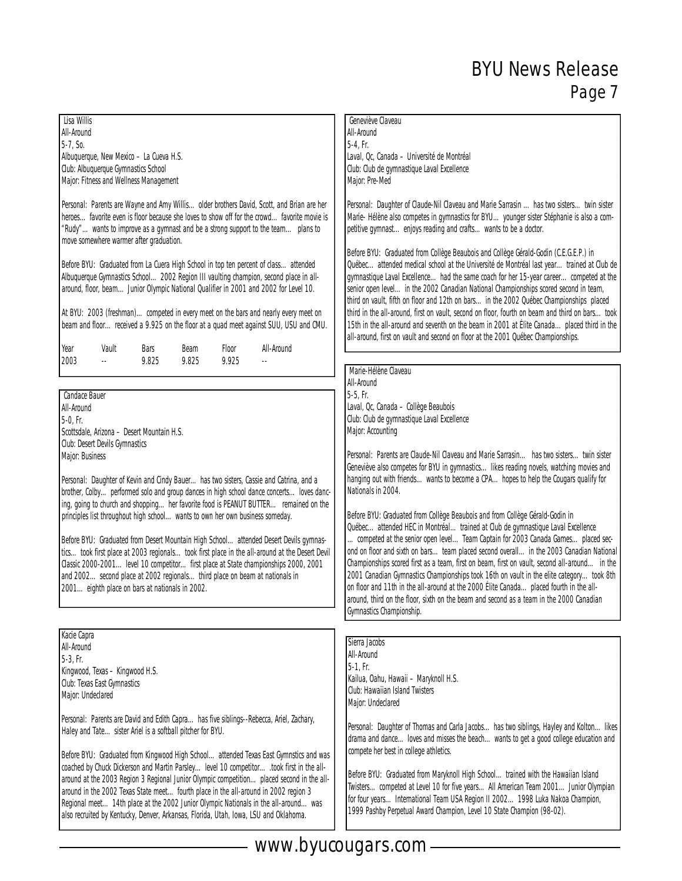| Lisa Willis<br>All-Around<br>5-7, So.<br>Albuquerque, New Mexico - La Cueva H.S.<br>Club: Albuquerque Gymnastics School<br>Major: Fitness and Wellness Management<br>Personal: Parents are Wayne and Amy Willisolder brothers David, Scott, and Brian are her<br>heroesfavorite even is floor because she loves to show off for the crowdfavorite movie is<br>"Rudy"wants to improve as a gymnast and be a strong support to the team plans to<br>move somewhere warmer after graduation.<br>Before BYU: Graduated from La Cuera High School in top ten percent of classattended<br>Albuquerque Gymnastics School2002 Region III vaulting champion, second place in all-<br>around, floor, beamJunior Olympic National Qualifier in 2001 and 2002 for Level 10.<br>At BYU: 2003 (freshman)competed in every meet on the bars and nearly every meet on                                                                                                                        | All-Around<br>$5-4.$ Fr.<br>Laval, Qc, Canada - Université de Montréal<br>Club: Club de gymnastique Laval Excellence<br>Major: Pre-Med<br>Personal: Daughter of Claude-Nil Claveau and Marie Sarrasin has two sisters. twin sister<br>Marie-Hélène also competes in gymnastics for BYU younger sister Stéphanie is also a com-<br>petitive gymnastenjoys reading and craftswants to be a doctor.<br>Before BYU: Graduated from Collège Beaubois and Collège Gérald-Godin (C.E.G.E.P.) in<br>Québecattended medical school at the Université de Montréal last yeartrained at Club de<br>gymnastique Laval Excellencehad the same coach for her 15-year careercompeted at the<br>senior open level in the 2002 Canadian National Championships scored second in team,<br>third on vault, fifth on floor and 12th on bars in the 2002 Québec Championships placed<br>third in the all-around, first on vault, second on floor, fourth on beam and third on barstook                                                                                                                                                                                                                                                   |  |  |  |  |
|------------------------------------------------------------------------------------------------------------------------------------------------------------------------------------------------------------------------------------------------------------------------------------------------------------------------------------------------------------------------------------------------------------------------------------------------------------------------------------------------------------------------------------------------------------------------------------------------------------------------------------------------------------------------------------------------------------------------------------------------------------------------------------------------------------------------------------------------------------------------------------------------------------------------------------------------------------------------------|--------------------------------------------------------------------------------------------------------------------------------------------------------------------------------------------------------------------------------------------------------------------------------------------------------------------------------------------------------------------------------------------------------------------------------------------------------------------------------------------------------------------------------------------------------------------------------------------------------------------------------------------------------------------------------------------------------------------------------------------------------------------------------------------------------------------------------------------------------------------------------------------------------------------------------------------------------------------------------------------------------------------------------------------------------------------------------------------------------------------------------------------------------------------------------------------------------------------|--|--|--|--|
| beam and floorreceived a 9.925 on the floor at a quad meet against SUU, USU and CMU.<br>Year<br>Vault<br>Floor<br>All-Around<br>Bars<br>Beam                                                                                                                                                                                                                                                                                                                                                                                                                                                                                                                                                                                                                                                                                                                                                                                                                                 | 15th in the all-around and seventh on the beam in 2001 at Élite Canada placed third in the<br>all-around, first on vault and second on floor at the 2001 Québec Championships.                                                                                                                                                                                                                                                                                                                                                                                                                                                                                                                                                                                                                                                                                                                                                                                                                                                                                                                                                                                                                                     |  |  |  |  |
| 2003<br>9.825<br>9.825<br>9.925<br>$\ddotsc$<br>Ξ.<br>Candace Bauer<br>All-Around<br>$5-0$ , Fr.<br>Scottsdale, Arizona - Desert Mountain H.S.<br>Club: Desert Devils Gymnastics<br>Major: Business<br>Personal: Daughter of Kevin and Cindy Bauer has two sisters, Cassie and Catrina, and a<br>brother, Colby performed solo and group dances in high school dance concerts loves danc-<br>ing, going to church and shoppingher favorite food is PEANUT BUTTER remained on the<br>principles list throughout high schoolwants to own her own business someday.<br>Before BYU: Graduated from Desert Mountain High Schoolattended Desert Devils gymnas-<br>ticstook first place at 2003 regionalstook first place in the all-around at the Desert Devil<br>Classic 2000-2001level 10 competitorfirst place at State championships 2000, 2001<br>and 2002second place at 2002 regionalsthird place on beam at nationals in<br>2001eighth place on bars at nationals in 2002. | Marie-Hélène Claveau<br>All-Around<br>5-5, Fr.<br>Laval, Oc, Canada - Collège Beaubois<br>Club: Club de gymnastique Laval Excellence<br>Major: Accounting<br>Personal: Parents are Claude-Nil Claveau and Marie Sarrasin has two sisterstwin sister<br>Geneviève also competes for BYU in gymnastics likes reading novels, watching movies and<br>hanging out with friendswants to become a CPAhopes to help the Cougars qualify for<br>Nationals in 2004.<br>Before BYU: Graduated from Collège Beaubois and from Collège Gérald-Godin in<br>Québecattended HEC in Montréaltrained at Club de gymnastique Laval Excellence<br>competed at the senior open levelTeam Captain for 2003 Canada Gamesplaced sec-<br>ond on floor and sixth on barsteam placed second overallin the 2003 Canadian National<br>Championships scored first as a team, first on beam, first on vault, second all-around in the<br>2001 Canadian Gymnastics Championships took 16th on vault in the elite categorytook 8th<br>on floor and 11th in the all-around at the 2000 Élite Canadaplaced fourth in the all-<br>around, third on the floor, sixth on the beam and second as a team in the 2000 Canadian<br>Gymnastics Championship. |  |  |  |  |
| Kacie Capra<br>All-Around<br>$5-3$ , Fr.<br>Kingwood, Texas - Kingwood H.S.<br>Club: Texas East Gymnastics<br>Major: Undeclared<br>Personal: Parents are David and Edith Capra has five siblings--Rebecca, Ariel, Zachary,<br>Haley and Tate sister Ariel is a softball pitcher for BYU.<br>Before BYU: Graduated from Kingwood High School attended Texas East Gymnstics and was<br>coached by Chuck Dickerson and Martin Parsleylevel 10 competitortook first in the all-<br>around at the 2003 Region 3 Regional Junior Olympic competitionplaced second in the all-<br>around in the 2002 Texas State meet fourth place in the all-around in 2002 region 3<br>Regional meet14th place at the 2002 Junior Olympic Nationals in the all-aroundwas<br>also recruited by Kentucky, Denver, Arkansas, Florida, Utah, Iowa, LSU and Oklahoma.                                                                                                                                  | Sierra Jacobs<br>All-Around<br>$5-1$ , Fr.<br>Kailua, Oahu, Hawaii - Maryknoll H.S.<br>Club: Hawaiian Island Twisters<br>Major: Undeclared<br>Personal: Daughter of Thomas and Carla Jacobs has two siblings, Hayley and Kolton likes<br>drama and dance loves and misses the beachwants to get a good college education and<br>compete her best in college athletics.<br>Before BYU: Graduated from Maryknoll High Schooltrained with the Hawaiian Island<br>Twisterscompeted at Level 10 for five yearsAll American Team 2001Junior Olympian<br>for four yearsInternational Team USA Region II 20021998 Luka Nakoa Champion,<br>1999 Pashby Perpetual Award Champion, Level 10 State Champion (98-02).                                                                                                                                                                                                                                                                                                                                                                                                                                                                                                           |  |  |  |  |